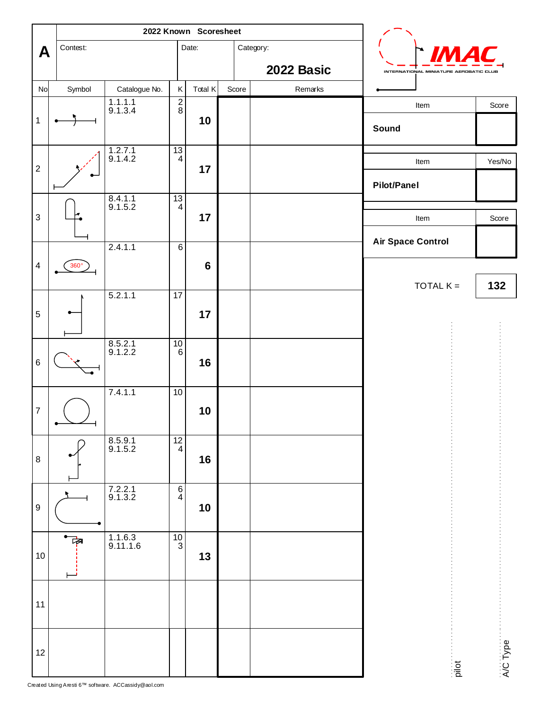|                           |          | 2022 Known Scoresheet      |                                        |                |       |            |                                             |          |
|---------------------------|----------|----------------------------|----------------------------------------|----------------|-------|------------|---------------------------------------------|----------|
| A                         | Contest: |                            | Date:                                  |                |       | Category:  | $\boldsymbol{A}$ $\boldsymbol{\Gamma}$<br>И |          |
|                           |          |                            |                                        |                |       | 2022 Basic | INTERNATIONAL MINIATURE AEROBATIC CLUB      |          |
| No                        | Symbol   | Catalogue No.              | $\mathsf K$                            | Total K        | Score | Remarks    |                                             |          |
| $\mathbf{1}$              |          | $1.1.1.1$<br>9.1.3.4       | $\frac{2}{8}$                          | 10             |       |            | Item<br>Sound                               | Score    |
| $\sqrt{2}$                |          | $\frac{1.2.7.1}{9.1.4.2}$  | 13<br>$\overline{4}$                   | 17             |       |            | Item                                        | Yes/No   |
|                           |          | $8.4.1.1$<br>9.1.5.2       | 13<br>$\overline{4}$                   |                |       |            | <b>Pilot/Panel</b>                          |          |
| $\ensuremath{\mathsf{3}}$ |          | 2.4.1.1                    | $\overline{6}$                         | 17             |       |            | Item<br><b>Air Space Control</b>            | Score    |
| $\overline{\mathbf{4}}$   | 360°     |                            |                                        | $6\phantom{1}$ |       |            | TOTAL $K =$                                 | 132      |
| $\mathbf 5$               |          | 5.2.1.1                    | 17                                     | 17             |       |            |                                             |          |
| $\,6\,$                   |          | 8.5.2.1<br>9.1.2.2         | $10\,$<br>$\,6\,$                      | 16             |       |            |                                             |          |
| $\overline{7}$            |          | 7.4.1.1                    | 10                                     | 10             |       |            |                                             |          |
| $\,8\,$                   |          | $8.5.9.1$<br>9.1.5.2       | $\frac{12}{4}$                         | 16             |       |            |                                             |          |
| $\boldsymbol{9}$          |          | $7.2.2.1$<br>9.1.3.2       | $6\over 4$                             | 10             |       |            |                                             |          |
| 10                        | ٠<br>ट्य | $\frac{1.1.6.3}{9.11.1.6}$ | $\begin{array}{c} 10 \\ 3 \end{array}$ | 13             |       |            |                                             |          |
| 11                        |          |                            |                                        |                |       |            |                                             |          |
| 12                        |          |                            |                                        |                |       |            | pilot                                       | A/C Type |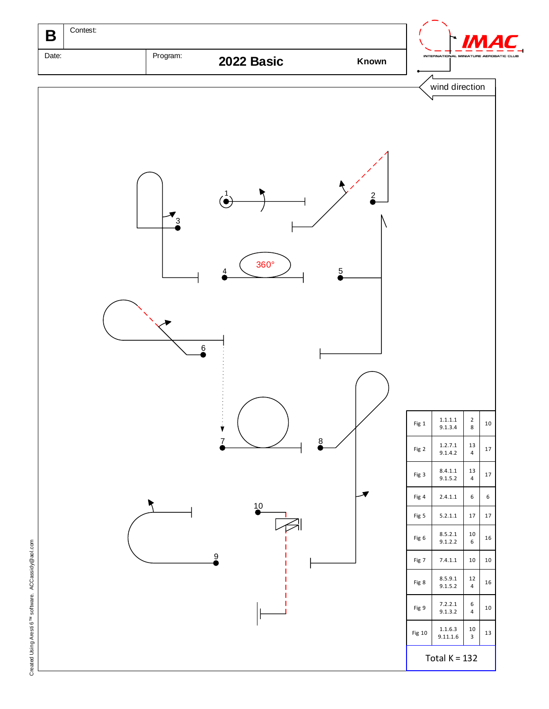